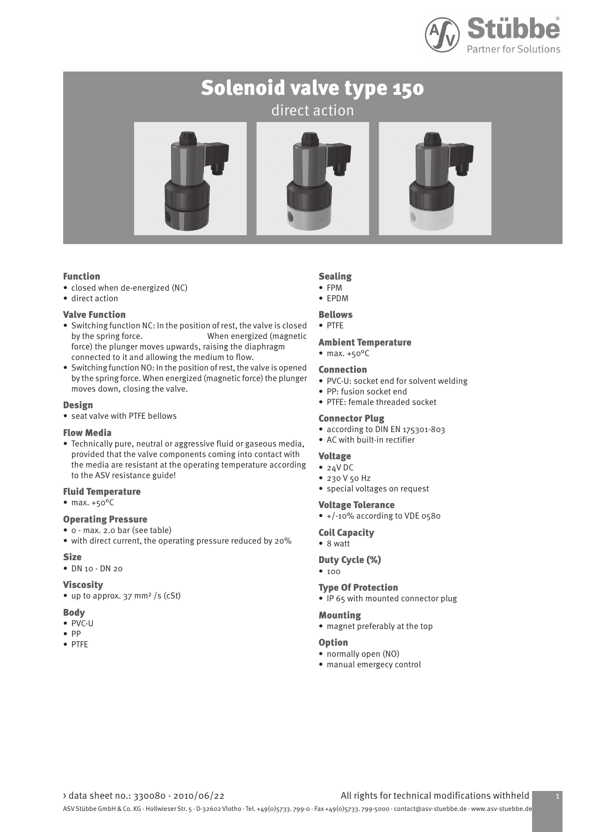

## Solenoid valve type 150 direct action



## Function

- closed when de-energized (NC)
- direct action

## Valve Function

- Switching function NC: In the position of rest, the valve is closed by the spring force. When energized (magnetic force) the plunger moves upwards, raising the diaphragm connected to it and allowing the medium to flow.
- Switching function NO: In the position of rest, the valve is opened by the spring force. When energized (magnetic force) the plunger moves down, closing the valve.

## Design

• seat valve with PTFE bellows

## Flow Media

• Technically pure, neutral or aggressive fluid or gaseous media, provided that the valve components coming into contact with the media are resistant at the operating temperature according to the ASV resistance guide!

## Fluid Temperature

 $•$  max.  $+50^{\circ}$ C

## Operating Pressure

- 0 max. 2.0 bar (see table)
- with direct current, the operating pressure reduced by 20% **Size**
- DN 10 DN 20

## Viscosity

• up to approx. 37 mm<sup>2</sup> /s (cSt)

## Body

- PVC-U
- PP
- PTFE

## Sealing

- FPM • EPDM
- 
- Bellows

## • PTFE

- Ambient Temperature
- $•$  max.  $+50^{\circ}$ C

## Connection

- PVC-U: socket end for solvent welding
- PP: fusion socket end
- PTFE: female threaded socket

## Connector Plug

- according to DIN EN 175301-803
- AC with built-in rectifier

## Voltage

- 24V DC
- 230 V 50 Hz
- special voltages on request

## Voltage Tolerance

• +/-10% according to VDE 0580

## Coil Capacity

• 8 watt

## Duty Cycle (%)

• 100

#### Type Of Protection

• IP 65 with mounted connector plug

## Mounting

• magnet preferably at the top

#### Option

- normally open (NO)
- manual emergecy control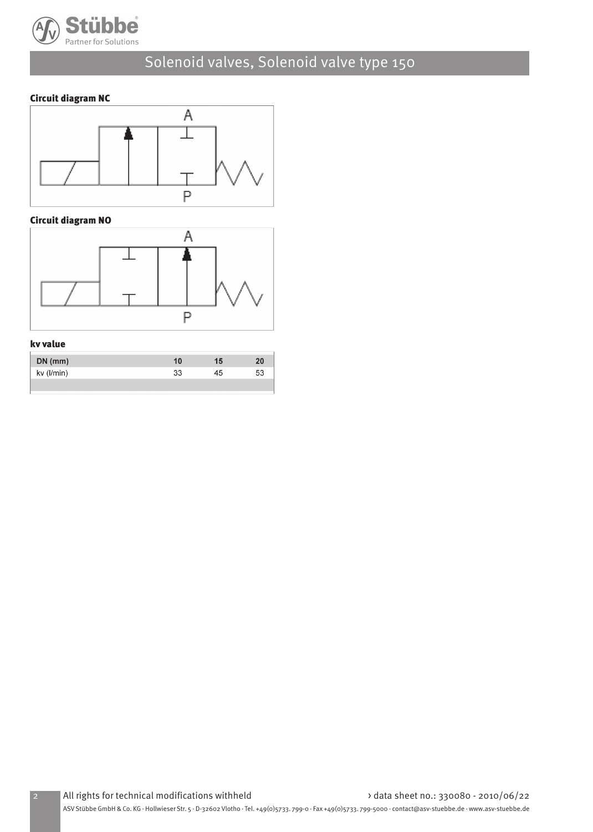

## Circuit diagram NC



## Circuit diagram NO



## kv value

| $DN$ (mm)  |    | 15 | 20 |
|------------|----|----|----|
| kv (l/min) | 33 | 45 | 53 |
|            |    |    |    |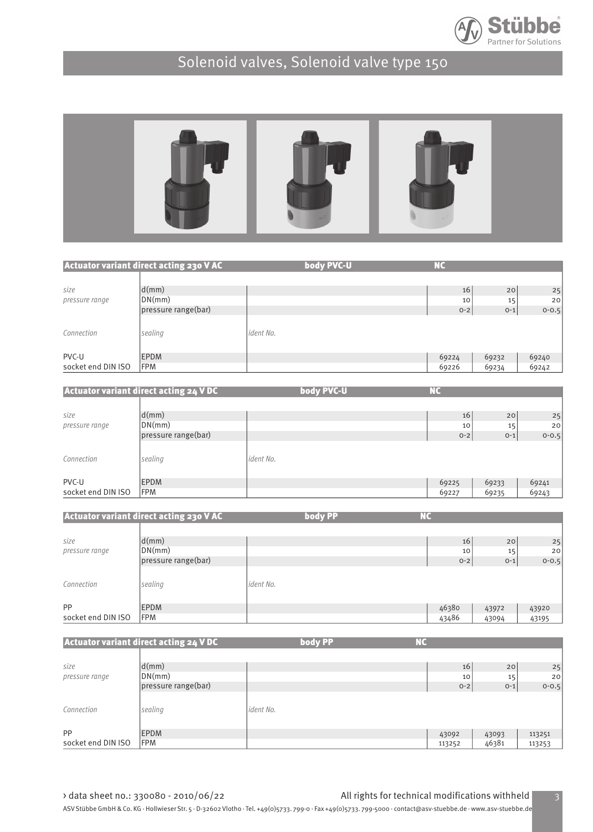



|                    | Actuator variant direct acting 230 V AC | body PVC-U | <b>NC</b> |         |           |
|--------------------|-----------------------------------------|------------|-----------|---------|-----------|
|                    |                                         |            |           |         |           |
| size               | d(mm)                                   |            | 16        | 20      | 25        |
| pressure range     | DN(mm)                                  |            | 10        | 15      | 20        |
|                    | pressure range(bar)                     |            | $O - 2$   | $O - 1$ | $0 - 0.5$ |
| Connection         | sealing                                 | ident No.  |           |         |           |
| PVC-U              | <b>EPDM</b>                             |            | 69224     | 69232   | 69240     |
| socket end DIN ISO | <b>FPM</b>                              |            | 69226     | 69234   | 69242     |

| 25        |
|-----------|
|           |
|           |
| 20        |
| $0 - 0.5$ |
|           |
| 69241     |
| 69243     |
|           |

|                    | <b>Actuator variant direct acting 230 V AC</b> | body PP   | <b>NC</b> |       |           |
|--------------------|------------------------------------------------|-----------|-----------|-------|-----------|
|                    |                                                |           |           |       |           |
| size               | d(mm)                                          |           | 16        | 20    | 25        |
| pressure range     | DN(mm)                                         |           | 10        | 15    | 20        |
|                    | pressure range(bar)                            |           | $0-2$     | $O-1$ | $0 - 0.5$ |
| Connection         | sealing                                        | ident No. |           |       |           |
| PP                 | <b>EPDM</b>                                    |           | 46380     | 43972 | 43920     |
| socket end DIN ISO | <b>FPM</b>                                     |           | 43486     | 43094 | 43195     |

Actuator variant direct acting 24 V DC size and d(mm) and the contract of the contract of the contract of the contract of the contract of the contract of  $\geq$  25  $\geq$  25  $\geq$  25  $\geq$  25  $\geq$  25  $\geq$  25  $\geq$  25  $\geq$  25  $\geq$  25  $\geq$  25  $\geq$  25  $\geq$  2 pressure range  $D(N(mm))$  10  $\vert$  20  $\vert$  20  $\vert$  10  $\vert$  15  $\vert$  20  $\vert$ pressure range(bar) 10 and 10 and 15 and 15 and 20 and 20 and 20 and 20 and 20 and 20 and 20 and 20 and 20 and 20 and 20 and 20 and 20 and 20 and 20 and 20 and 20 and 20 and 20 and 20 and 20 and 20 and 20 and 20 and 20 and Connection sealing sealing ident No. PP EPDM 43092 43093 113251 socket end DIN ISO FPM 113253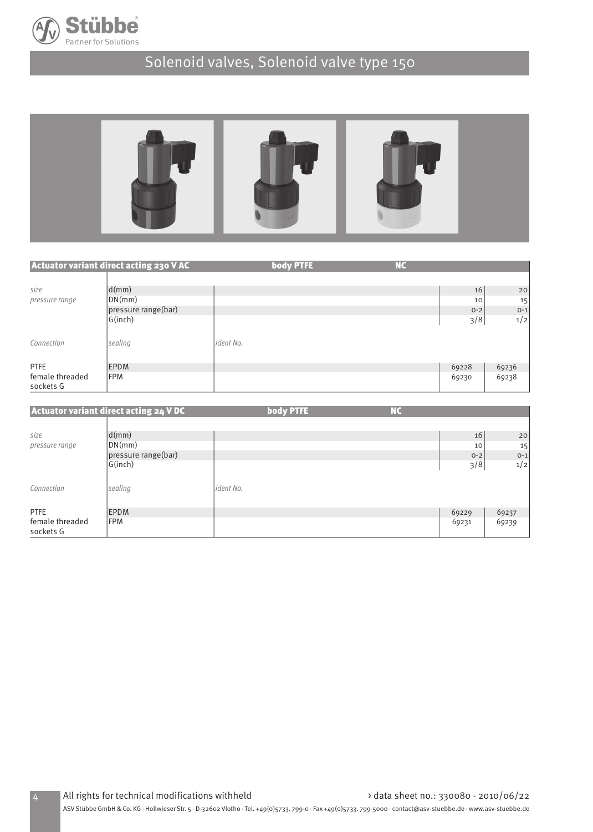



|                              | <b>Actuator variant direct acting 230 V AC</b> | body PTFE | <b>NC</b> |         |         |
|------------------------------|------------------------------------------------|-----------|-----------|---------|---------|
|                              |                                                |           |           |         |         |
| size                         | d(mm)                                          |           |           | 16      | 20      |
| pressure range               | DN(mm)                                         |           |           | 10      | 15      |
|                              | pressure range(bar)                            |           |           | $O - 2$ | $O - 1$ |
|                              | G(inch)                                        |           |           | 3/8     | 1/2     |
| Connection                   | sealing                                        | ident No. |           |         |         |
| <b>PTFE</b>                  | <b>EPDM</b>                                    |           |           | 69228   | 69236   |
| female threaded<br>sockets G | <b>FPM</b>                                     |           |           | 69230   | 69238   |

|                              | <b>Actuator variant direct acting 24 VDC</b> |           | body PTFE | <b>NC</b> |         |         |
|------------------------------|----------------------------------------------|-----------|-----------|-----------|---------|---------|
| size                         | d(mm)                                        |           |           |           | 16      | 20      |
| pressure range               | DN(mm)                                       |           |           |           | 10      | 15      |
|                              | pressure range(bar)                          |           |           |           | $O - 2$ | $O - 1$ |
|                              | G(inch)                                      |           |           |           | 3/8     | 1/2     |
| Connection                   | sealing                                      | ident No. |           |           |         |         |
| <b>PTFE</b>                  | <b>EPDM</b>                                  |           |           |           | 69229   | 69237   |
| female threaded<br>sockets G | <b>FPM</b>                                   |           |           |           | 69231   | 69239   |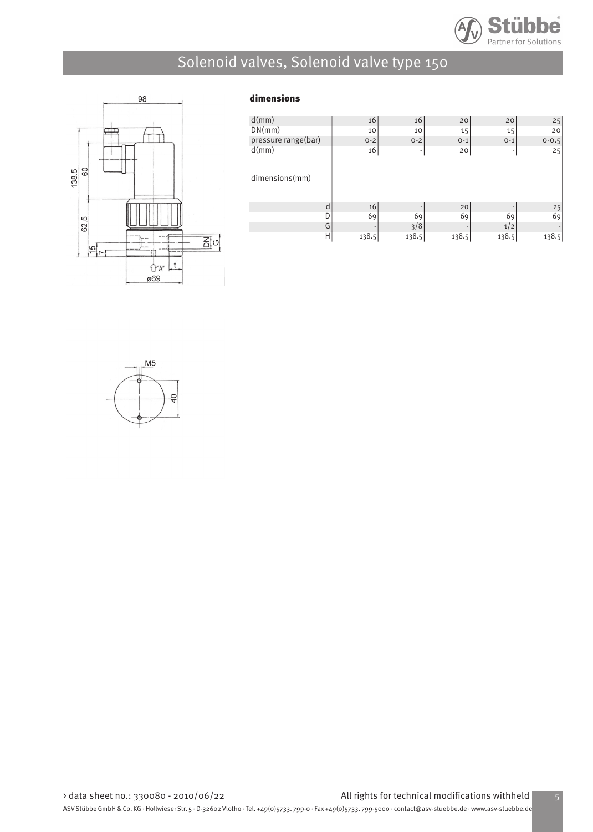



## dimensions

| 16      | 16                     | 20           | 20      | 25        |
|---------|------------------------|--------------|---------|-----------|
| 10      | 10                     | 15           | 15      | 20        |
| $O - 2$ | $O - 2$                | $0 - 1$      | $O - 1$ | $0 - 0.5$ |
| 16      | ۰                      | 20           | ٠       | 25        |
|         |                        |              |         |           |
|         |                        |              |         |           |
|         |                        |              |         |           |
|         |                        |              |         |           |
|         |                        |              |         | 25        |
| 69      | 69                     | 69           | 69      | 69        |
| ٠       |                        |              | 1/2     |           |
| 138.5   |                        | 138.5        | 138.5   | 138.5     |
|         | 16<br>d<br>D<br>G<br>Η | 3/8<br>138.5 | 20      |           |